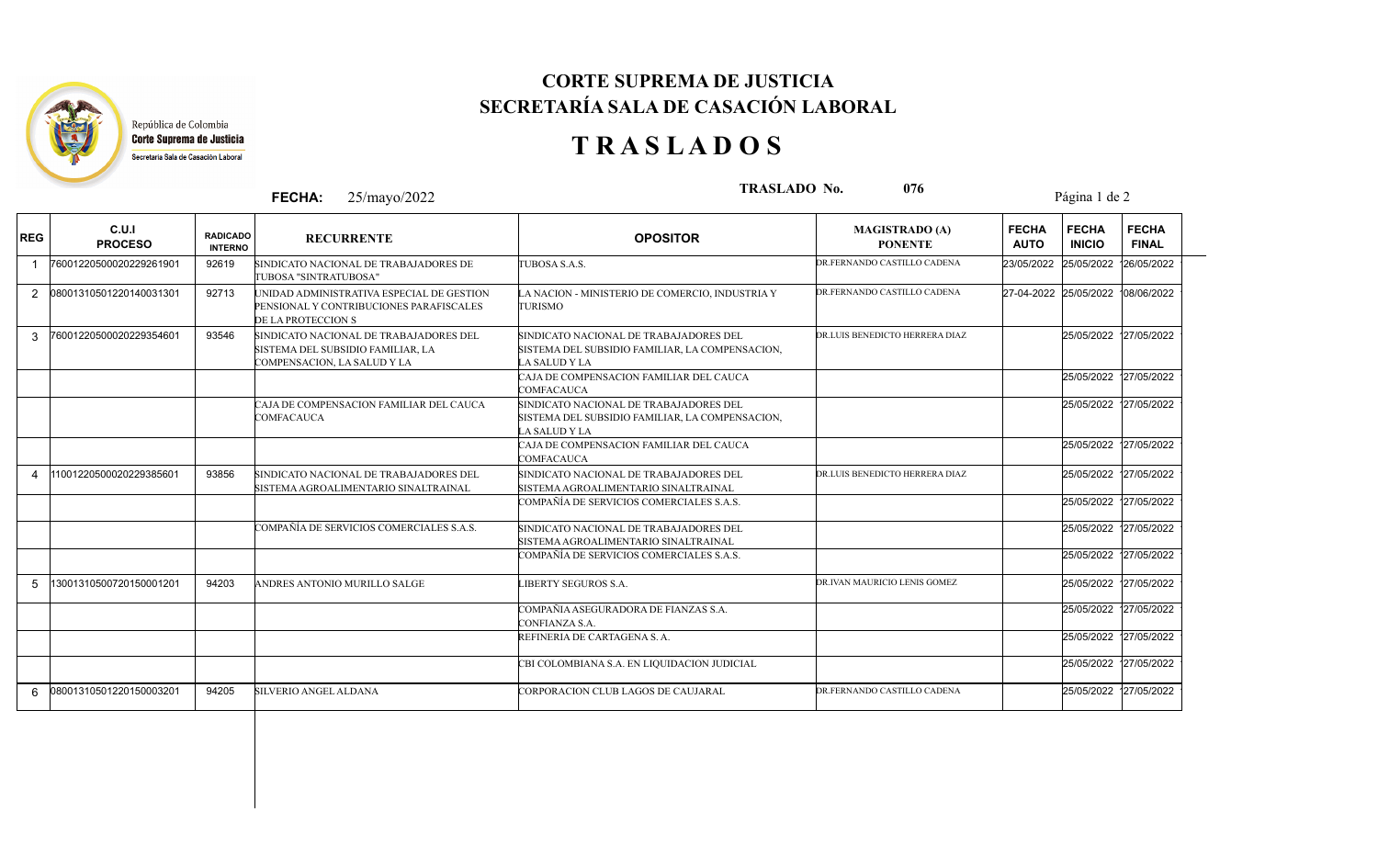

## **CORTE SUPREMA DE JUSTICIA SECRETARÍA SALA DE CASACIÓN LABORAL**

## **T R A S L A D O S**

|            |                           |                                   | <b>FECHA:</b>                | 25/mayo/2022                                                                         | <b>TRASLADO No.</b><br>076                                                                                 |                                         |                             | Página 1 de 2                 |                                   |  |  |
|------------|---------------------------|-----------------------------------|------------------------------|--------------------------------------------------------------------------------------|------------------------------------------------------------------------------------------------------------|-----------------------------------------|-----------------------------|-------------------------------|-----------------------------------|--|--|
| <b>REG</b> | C.U.I<br><b>PROCESO</b>   | <b>RADICADO</b><br><b>INTERNO</b> |                              | <b>RECURRENTE</b>                                                                    | <b>OPOSITOR</b>                                                                                            | <b>MAGISTRADO (A)</b><br><b>PONENTE</b> | <b>FECHA</b><br><b>AUTO</b> | <b>FECHA</b><br><b>INICIO</b> | <b>FECHA</b><br><b>FINAL</b>      |  |  |
|            | 76001220500020229261901   | 92619                             | TUBOSA "SINTRATUBOSA"        | SINDICATO NACIONAL DE TRABAJADORES DE                                                | TUBOSA S.A.S.                                                                                              | DR.FERNANDO CASTILLO CADENA             | 23/05/2022                  | 25/05/2022                    | 126/05/2022                       |  |  |
|            | 2 08001310501220140031301 | 92713                             | DE LA PROTECCION S           | UNIDAD ADMINISTRATIVA ESPECIAL DE GESTION<br>PENSIONAL Y CONTRIBUCIONES PARAFISCALES | A NACION - MINISTERIO DE COMERCIO, INDUSTRIA Y<br><b>TURISMO</b>                                           | DR.FERNANDO CASTILLO CADENA             |                             |                               | 27-04-2022 25/05/2022 108/06/2022 |  |  |
| 3          | 76001220500020229354601   | 93546                             | COMPENSACION, LA SALUD Y LA  | SINDICATO NACIONAL DE TRABAJADORES DEL<br>SISTEMA DEL SUBSIDIO FAMILIAR, LA          | SINDICATO NACIONAL DE TRABAJADORES DEL<br>SISTEMA DEL SUBSIDIO FAMILIAR, LA COMPENSACION,<br>A SALUD Y LA  | DR.LUIS BENEDICTO HERRERA DIAZ          |                             |                               | 25/05/2022 127/05/2022            |  |  |
|            |                           |                                   |                              |                                                                                      | CAJA DE COMPENSACION FAMILIAR DEL CAUCA<br>COMFACAUCA                                                      |                                         |                             |                               | 25/05/2022 127/05/2022            |  |  |
|            |                           |                                   | COMFACAUCA                   | CAJA DE COMPENSACION FAMILIAR DEL CAUCA                                              | SINDICATO NACIONAL DE TRABAJADORES DEL<br>SISTEMA DEL SUBSIDIO FAMILIAR, LA COMPENSACION,<br>LA SALUD Y LA |                                         |                             |                               | 25/05/2022 127/05/2022            |  |  |
|            |                           |                                   |                              |                                                                                      | CAJA DE COMPENSACION FAMILIAR DEL CAUCA<br><b>COMFACAUCA</b>                                               |                                         |                             |                               | 25/05/2022 127/05/2022            |  |  |
|            | 11001220500020229385601   | 93856                             |                              | SINDICATO NACIONAL DE TRABAJADORES DEL<br>SISTEMA AGROALIMENTARIO SINALTRAINAL       | SINDICATO NACIONAL DE TRABAJADORES DEL<br>SISTEMA AGROALIMENTARIO SINALTRAINAL                             | DR.LUIS BENEDICTO HERRERA DIAZ          |                             |                               | 25/05/2022 127/05/2022            |  |  |
|            |                           |                                   |                              |                                                                                      | COMPAÑÍA DE SERVICIOS COMERCIALES S.A.S.                                                                   |                                         |                             |                               | 25/05/2022 127/05/2022            |  |  |
|            |                           |                                   |                              | COMPAÑÍA DE SERVICIOS COMERCIALES S.A.S.                                             | SINDICATO NACIONAL DE TRABAJADORES DEL<br>SISTEMA AGROALIMENTARIO SINALTRAINAL                             |                                         |                             |                               | 25/05/2022 127/05/2022            |  |  |
|            |                           |                                   |                              |                                                                                      | COMPAÑÍA DE SERVICIOS COMERCIALES S.A.S.                                                                   |                                         |                             |                               | 25/05/2022 127/05/2022            |  |  |
| 5          | 13001310500720150001201   | 94203                             |                              | ANDRES ANTONIO MURILLO SALGE                                                         | LIBERTY SEGUROS S.A.                                                                                       | DR.IVAN MAURICIO LENIS GOMEZ            |                             |                               | 25/05/2022 127/05/2022            |  |  |
|            |                           |                                   |                              |                                                                                      | COMPAÑIA ASEGURADORA DE FIANZAS S.A.<br>CONFIANZA S.A.                                                     |                                         |                             |                               | 25/05/2022 127/05/2022            |  |  |
|            |                           |                                   |                              |                                                                                      | REFINERIA DE CARTAGENA S.A.                                                                                |                                         |                             |                               | 25/05/2022 127/05/2022            |  |  |
|            |                           |                                   |                              |                                                                                      | CBI COLOMBIANA S.A. EN LIQUIDACION JUDICIAL                                                                |                                         |                             |                               | 25/05/2022 127/05/2022            |  |  |
| 6          | 08001310501220150003201   | 94205                             | <b>SILVERIO ANGEL ALDANA</b> |                                                                                      | CORPORACION CLUB LAGOS DE CAUJARAL                                                                         | DR.FERNANDO CASTILLO CADENA             |                             |                               | 25/05/2022 127/05/2022            |  |  |
|            |                           |                                   |                              |                                                                                      |                                                                                                            |                                         |                             |                               |                                   |  |  |